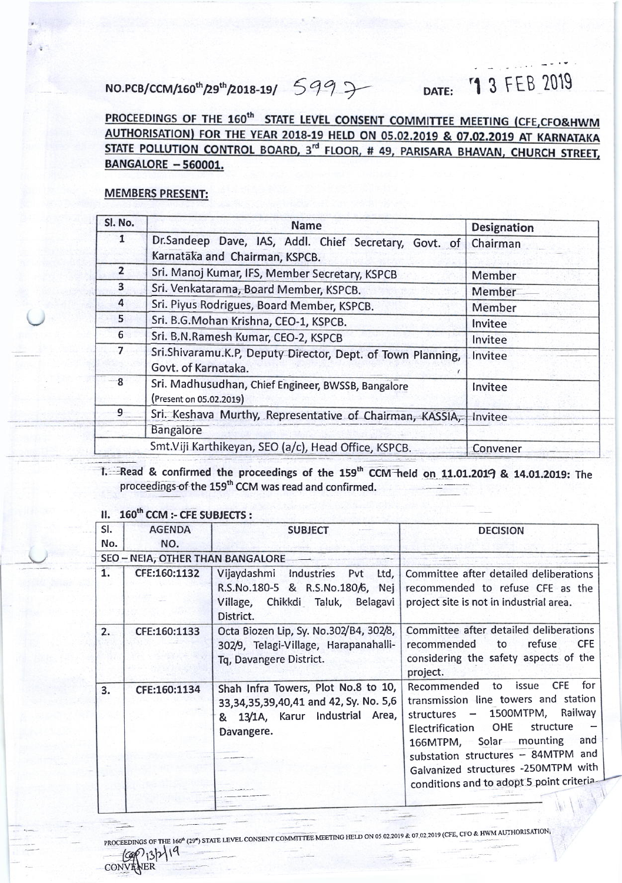## DATE: '1 3 FEB 2019

NO.PCB/CCM/160<sup>th</sup>/29<sup>th</sup>/2018-19/ 5 9 9 > DATE: <sup>1</sup> 3 FEB 2019<br>PROCEEDINGS OF THE 160<sup>th</sup> STATE LEVEL CONSENT COMMITTEE MEETING (CFE,CFO&HWM<br>AUTHORISATION) FOR THE YEAR 2018-19 HELD ON 05.02.2019 & 07.02.2019 AT KARNATAK STATE POLLUTION CONTROL BOARD, 3<sup>rd</sup> FLOOR, # 49, PARISARA BHAVAN, CHURCH STREET, BANGALORE - 560001.

## MEMBERS PRESENT:

| Sl. No.        | <b>Name</b>                                                                        | <b>Designation</b> |
|----------------|------------------------------------------------------------------------------------|--------------------|
| $\mathbf{1}$   | Dr.Sandeep Dave, IAS, Addl. Chief Secretary, Govt. of                              | Chairman           |
|                | Karnataka and Chairman, KSPCB.                                                     |                    |
| $\overline{2}$ | Sri. Manoj Kumar, IFS, Member Secretary, KSPCB                                     | Member             |
| $\mathbf{3}$   | Sri. Venkatarama, Board Member, KSPCB.                                             | Member             |
| 4              | Sri. Piyus Rodrigues, Board Member, KSPCB.                                         | Member             |
| 5              | Sri. B.G.Mohan Krishna, CEO-1, KSPCB.                                              | Invitee            |
| 6 <sup>1</sup> | Sri. B.N.Ramesh Kumar, CEO-2, KSPCB                                                | Invitee            |
| $\overline{7}$ | Sri.Shivaramu.K.P, Deputy Director, Dept. of Town Planning,<br>Govt. of Karnataka. | Invitee            |
| $-8$           | Sri. Madhusudhan, Chief Engineer, BWSSB, Bangalore<br>(Present on 05.02.2019)      | Invitee            |
| $\overline{9}$ | Sri. Keshava Murthy, Representative of Chairman, KASSIA,                           | Invitee            |
|                | <b>Bangalore</b>                                                                   |                    |
|                | Smt. Viji Karthikeyan, SEO (a/c), Head Office, KSPCB.                              | <b>Convener</b>    |

1. Read & confirmed the proceedings of the 159<sup>th</sup> CCM held on 11.01.2019 & 14.01.2019: The proceedings of the 159<sup>th</sup> CCM was read and confirmed.

## II. 160<sup>th</sup> CCM :- CFE SUBJECTS :

 $C^{p'}$ 13 $\mathcal{M}$ 

CONVENER

 $\overline{\phantom{a}}$ 

| SI. | <b>AGENDA</b>                    | <b>SUBJECT</b>                                                                                                                      | <b>DECISION</b>                                                                                                                                                                                                                                                                                                            |
|-----|----------------------------------|-------------------------------------------------------------------------------------------------------------------------------------|----------------------------------------------------------------------------------------------------------------------------------------------------------------------------------------------------------------------------------------------------------------------------------------------------------------------------|
| No. | NO.                              |                                                                                                                                     |                                                                                                                                                                                                                                                                                                                            |
|     | SEO - NEIA, OTHER THAN BANGALORE |                                                                                                                                     |                                                                                                                                                                                                                                                                                                                            |
| 1.  | CFE:160:1132                     | Village, Chikkdi Taluk, Belagavi<br>District.                                                                                       | Vijaydashmi Industries Pvt Ltd, Committee after detailed deliberations<br>R.S.No.180-5 & R.S.No.180/6, Nej recommended to refuse CFE as the<br>project site is not in industrial area.                                                                                                                                     |
| 2.  | CFE:160:1133                     | Octa Biozen Lip, Sy. No.302/B4, 302/8,<br>302/9, Telagi-Village, Harapanahalli-<br>Tq, Davangere District.                          | Committee after detailed deliberations<br>to<br>refuse<br><b>CFE</b><br>recommended<br>considering the safety aspects of the<br>project.                                                                                                                                                                                   |
| 3.  | CFE:160:1134                     | Shah Infra Towers, Plot No.8 to 10,<br>33, 34, 35, 39, 40, 41 and 42, Sy. No. 5, 6<br>& 13/1A, Karur Industrial Area,<br>Davangere. | <b>CFE</b><br>issue<br>for<br>Recommended to<br>transmission line towers and station<br>1500MTPM, Railway<br>structures $-$<br>Electrification OHE<br>structure<br>166MTPM, Solar mounting<br>and<br>substation structures - 84MTPM and<br>Galvanized structures -250MTPM with<br>conditions and to adopt 5 point criteria |

PROCEEDINGS OF THE 160<sup>th</sup> (29<sup>\*</sup>) STATE LEVEL CONSENT COMMITTEE MEETING HELD ON 05.02.2019 & 07.02.2019 (CFE, CFO & HWM AUTHORISATION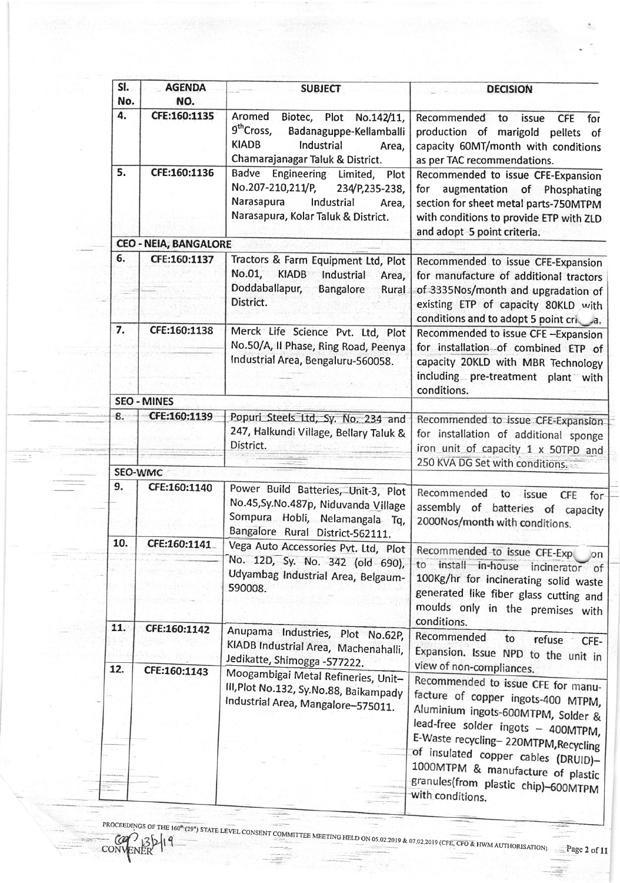| SI.<br>No.     | <b>AGENDA</b><br>NO.         | <b>SUBJECT</b>                                                                                                                                                          | <b>DECISION</b>                                                                                                                                                                                                                                                                                                                             |
|----------------|------------------------------|-------------------------------------------------------------------------------------------------------------------------------------------------------------------------|---------------------------------------------------------------------------------------------------------------------------------------------------------------------------------------------------------------------------------------------------------------------------------------------------------------------------------------------|
| 4.             | CFE:160:1135                 | Aromed<br>Plot<br>Biotec,<br>No.142/11,<br>9 <sup>th</sup> Cross,<br>Badanaguppe-Kellamballi<br><b>KIADB</b><br>Industrial<br>Area,<br>Chamarajanagar Taluk & District. | Recommended<br>to<br>issue<br>for<br><b>CFE</b><br>production of marigold pellets<br>of<br>capacity 60MT/month with conditions<br>as per TAC recommendations.                                                                                                                                                                               |
| 5.             | CFE:160:1136                 | Badve Engineering Limited, Plot<br>No.207-210,211/P,<br>234/P,235-238,<br>Narasapura<br>Industrial<br>Area,<br>Narasapura, Kolar Taluk & District.                      | Recommended to issue CFE-Expansion<br>for<br>augmentation of Phosphating<br>section for sheet metal parts-750MTPM<br>with conditions to provide ETP with ZLD<br>and adopt 5 point criteria.                                                                                                                                                 |
|                | <b>CEO - NEIA, BANGALORE</b> |                                                                                                                                                                         |                                                                                                                                                                                                                                                                                                                                             |
| 6.             | CFE:160:1137                 | Tractors & Farm Equipment Ltd, Plot<br>No.01,<br><b>KIADB</b><br>Industrial<br>Area,<br>Doddaballapur,<br><b>Bangalore</b><br>Rural<br>District.                        | Recommended to issue CFE-Expansion<br>for manufacture of additional tractors<br>of 3335Nos/month and upgradation of<br>existing ETP of capacity 80KLD with<br>conditions and to adopt 5 point cri a.                                                                                                                                        |
| 7.             | CFE:160:1138                 | Merck Life Science Pvt. Ltd, Plot<br>No.50/A, II Phase, Ring Road, Peenya<br>Industrial Area, Bengaluru-560058.                                                         | Recommended to issue CFE-Expansion<br>for installation of combined ETP of<br>capacity 20KLD with MBR Technology<br>including pre-treatment plant with<br>conditions.                                                                                                                                                                        |
|                | <b>SEO - MINES</b>           |                                                                                                                                                                         |                                                                                                                                                                                                                                                                                                                                             |
| 8.             | CFE:160:1139                 | Popuri Steels Ltd, Sy. No. 234 and<br>247, Halkundi Village, Bellary Taluk &<br>District.                                                                               | Recommended to issue CFE-Expansion<br>for installation of additional sponge<br>iron unit of capacity 1 x 50TPD and                                                                                                                                                                                                                          |
| <b>SEO-WMC</b> |                              |                                                                                                                                                                         | 250 KVA DG Set with conditions.                                                                                                                                                                                                                                                                                                             |
| 9.             | CFE:160:1140                 |                                                                                                                                                                         |                                                                                                                                                                                                                                                                                                                                             |
|                |                              | Power Build Batteries, Unit-3, Plot<br>No.45, Sy. No.487p, Niduvanda Village<br>Sompura Hobli, Nelamangala Tq,<br>Bangalore Rural District-562111.                      | Recommended to issue<br><b>CFE</b><br>for-<br>assembly of batteries of capacity<br>2000Nos/month with conditions.                                                                                                                                                                                                                           |
| 10.            | CFE:160:1141                 | Vega Auto Accessories Pvt. Ltd, Plot                                                                                                                                    | Recommended to issue CFE-Exp                                                                                                                                                                                                                                                                                                                |
|                |                              | No. 12D, Sy. No. 342 (old 690),<br>Udyambag Industrial Area, Belgaum-<br>590008.                                                                                        | $\circ$ n<br>to install in-house incinerator of<br>100Kg/hr for incinerating solid waste<br>generated like fiber glass cutting and<br>moulds only in the premises with<br>conditions.                                                                                                                                                       |
| 11.            | CFE:160:1142                 | Anupama Industries, Plot No.62P,<br>KIADB Industrial Area, Machenahalli,<br>Jedikatte, Shimogga -577222.                                                                | Recommended<br>to<br>refuse CFE-<br>Expansion. Issue NPD to the unit in                                                                                                                                                                                                                                                                     |
| 12.            | CFE:160:1143                 | Moogambigai Metal Refineries, Unit-<br>III, Plot No.132, Sy.No.88, Baikampady<br>Industrial Area, Mangalore-575011.                                                     | view of non-compliances.<br>Recommended to issue CFE for manu-<br>facture of copper ingots-400 MTPM,<br>Aluminium ingots-600MTPM, Solder &<br>lead-free solder ingots - 400MTPM,<br>E-Waste recycling-220MTPM, Recycling<br>of insulated copper cables (DRUID)-<br>1000MTPM & manufacture of plastic<br>granules(from plastic chip)-600MTPM |

STATE LEVEL CONSENT COMMITTEE MEETING HELD ON 05.02.2019 & 07.02.2019 (CFE, CFO & HWM AUTHORISATION) \_\_\_\_\_Page 2 of 1

3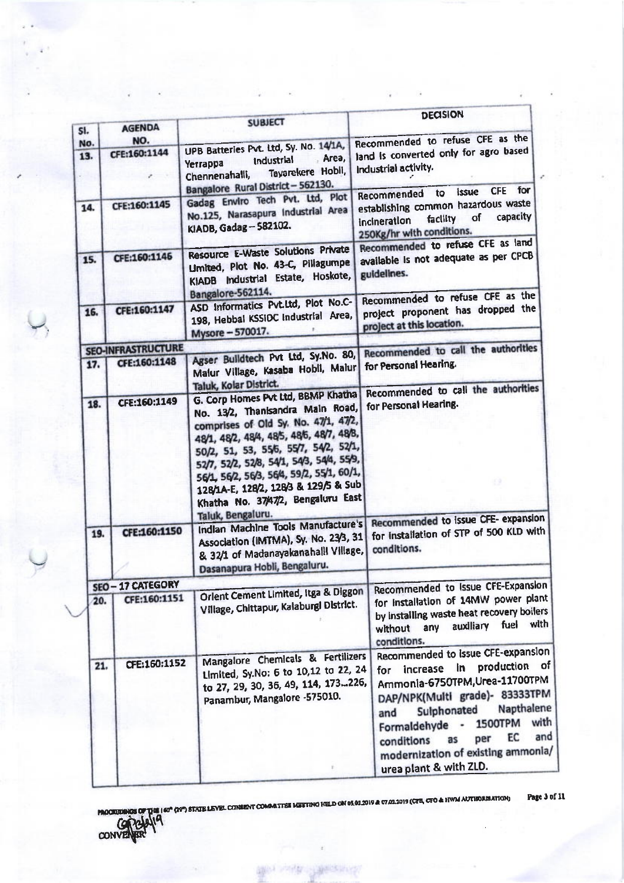|            |                           |                                                                                                                                                                                                                                                                                                                                                                                                   | <b>DECISION</b>                                                                                                                                                                                                                                                                                                                     |
|------------|---------------------------|---------------------------------------------------------------------------------------------------------------------------------------------------------------------------------------------------------------------------------------------------------------------------------------------------------------------------------------------------------------------------------------------------|-------------------------------------------------------------------------------------------------------------------------------------------------------------------------------------------------------------------------------------------------------------------------------------------------------------------------------------|
| SI.        | <b>AGENDA</b>             | <b>SUBJECT</b>                                                                                                                                                                                                                                                                                                                                                                                    |                                                                                                                                                                                                                                                                                                                                     |
| No.<br>13. | NO.<br>CFE:160:1144       | UPB Batteries Pvt. Ltd, Sy. No. 14/1A,<br>Area,<br>industrial<br>Yerrappa<br>Chennenahalli, Tayarekere Hobli,<br>Bangalore Rural District - 562130.                                                                                                                                                                                                                                               | Recommended to refuse CFE as the<br>land is converted only for agro based<br>Industrial activity.<br>$\mathcal{L}$<br>for<br><b>CFE</b><br>to issue                                                                                                                                                                                 |
| 14.        | CFE:160:1145              | Gadag Enviro Tech Pvt. Ltd, Plot<br>No.125, Narasapura Industrial Area<br>KIADB, Gadag - 582102.                                                                                                                                                                                                                                                                                                  | Recommended<br>establishing common hazardous waste<br>facility of capacity<br>incineration<br>250Kg/hr with conditions.                                                                                                                                                                                                             |
| 15.        | CFE:160:1146              | Resource E-Waste Solutions Private<br>Umited, Plot No. 43-C, Pillagumpe<br>KIADB Industrial Estate, Hoskote,<br>Bangalore-562114.                                                                                                                                                                                                                                                                 | Recommended to refuse CFE as land<br>available is not adequate as per CPCB<br>guidelines.                                                                                                                                                                                                                                           |
| 16.        | CFE:160:1147              | ASD Informatics Pvt.Ltd, Plot No.C-<br>198, Hebbal KSSIDC Industrial Area,<br>Mysore - 570017.                                                                                                                                                                                                                                                                                                    | Recommended to refuse CFE as the<br>project proponent has dropped the<br>project at this location.                                                                                                                                                                                                                                  |
|            | <b>SEO-INFRASTRUCTURE</b> |                                                                                                                                                                                                                                                                                                                                                                                                   | Recommended to call the authorities                                                                                                                                                                                                                                                                                                 |
| 17.        | CFE:160:1148              | Agser Buildtech Pvt Ltd, Sy.No. 80,<br>Malur Village, Kasaba Hobil, Malur<br>Taluk, Kolar District.                                                                                                                                                                                                                                                                                               | for Personal Hearing.                                                                                                                                                                                                                                                                                                               |
| 18.        | CFE:160:1149              | G. Corp Homes Pvt Ltd, BBMP Khatha<br>No. 13/2, Thanisandra Main Road,<br>comprises of Old Sy. No. 47/1, 47/2,<br>48/1, 48/2, 48/4, 48/5, 48/5, 48/7, 48/8,<br>50/2, 51, 53, 55/6, 55/7, 54/2, 52/1,<br>52/7, 52/2, 52/8, 54/1, 54/3, 54/4, 55/9,<br>56/1, 56/2, 56/3, 56/4, 59/2, 55/1, 60/1,<br>128/1A-E, 128/2, 128/3 & 129/5 & Sub<br>Khatha No. 37/47/2, Bengaluru East<br>Taluk, Bengaluru. | Recommended to call the authorities<br>for Personal Hearing.<br>69<br>Recommended to issue CFE- expansion                                                                                                                                                                                                                           |
| 19.        | CFE:160:1150              | Indian Machine Tools Manufacture's<br>Association (IMTMA), Sy. No. 23/3, 31<br>& 32/1 of Madanayakanahalll Village,<br>Dasanapura Hobli, Bengaluru.                                                                                                                                                                                                                                               | for installation of STP of 500 KLD with<br>conditions.                                                                                                                                                                                                                                                                              |
|            | SEO-17 CATEGORY           |                                                                                                                                                                                                                                                                                                                                                                                                   | Recommended to Issue CFE-Expansion                                                                                                                                                                                                                                                                                                  |
| 20.        | CFE:160:1151              | Orlent Cement Limited, Itga & Diggon<br>Village, Chittapur, Kalaburgl District.                                                                                                                                                                                                                                                                                                                   | for installation of 14MW power plant<br>by installing waste heat recovery boilers<br>without any auxiliary fuel with<br>conditions.                                                                                                                                                                                                 |
| 21.        | CFE:160:1152              | Mangalore Chemicals & Fertilizers<br>Limited, Sy.No: 6 to 10,12 to 22, 24<br>to 27, 29, 30, 36, 49, 114, 173226,<br>Panambur, Mangalore -575010.                                                                                                                                                                                                                                                  | Recommended to issue CFE-expansion<br>production of<br>in i<br>increase<br>for<br>Ammonia-6750TPM, Urea-11700TPM<br>DAP/NPK(Multi grade)- 83333TPM<br>Napthalene<br>Sulphonated<br>and<br>with<br>1500TPM<br>Formaldehyde -<br>and<br>EC<br>per<br>as<br>conditions<br>modernization of existing ammonia,<br>urea plant & with ZLD. |

**PROCREDINGS OF THIS 160° (39°) STATE LEVEL CONSENT COMMETTEE MEETING HELD ON 05.02.2019 & 07.02.2019 (CFR, CTO & HWM AUTHORIZATION)**<br>CONVENTRY<sup>10</sup> Page 3 of 11

**SUNY** 

 $\pm$ 

**Lage** 

地形的

编号